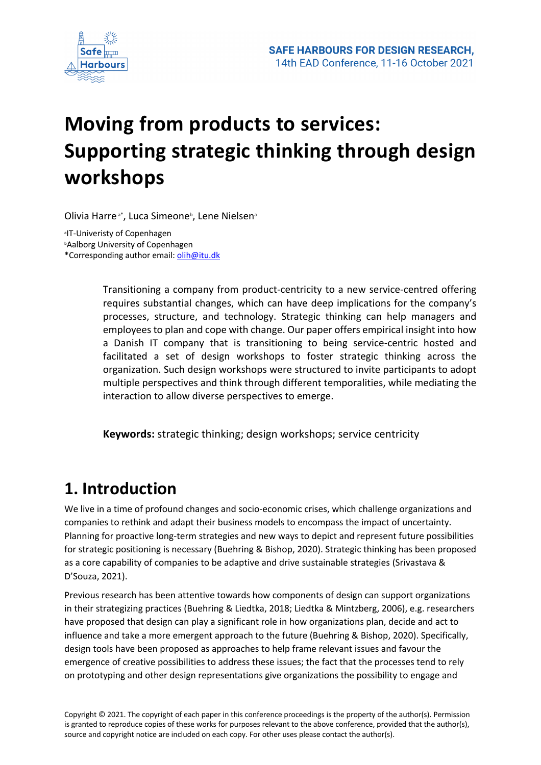

# **Moving from products to services: Supporting strategic thinking through design workshops**

Olivia Harre<sup>a\*</sup>, Luca Simeone<sup>b</sup>, Lene Nielsen<sup>a</sup>

a IT-Univeristy of Copenhagen bAalborg University of Copenhagen \*Corresponding author email: olih@itu.dk

> Transitioning a company from product-centricity to a new service-centred offering requires substantial changes, which can have deep implications for the company's processes, structure, and technology. Strategic thinking can help managers and employees to plan and cope with change. Our paper offers empirical insight into how a Danish IT company that is transitioning to being service-centric hosted and facilitated a set of design workshops to foster strategic thinking across the organization. Such design workshops were structured to invite participants to adopt multiple perspectives and think through different temporalities, while mediating the interaction to allow diverse perspectives to emerge.

**Keywords:** strategic thinking; design workshops; service centricity

## **1. Introduction**

We live in a time of profound changes and socio-economic crises, which challenge organizations and companies to rethink and adapt their business models to encompass the impact of uncertainty. Planning for proactive long-term strategies and new ways to depict and represent future possibilities for strategic positioning is necessary (Buehring & Bishop, 2020). Strategic thinking has been proposed as a core capability of companies to be adaptive and drive sustainable strategies (Srivastava & D'Souza, 2021).

Previous research has been attentive towards how components of design can support organizations in their strategizing practices (Buehring & Liedtka, 2018; Liedtka & Mintzberg, 2006), e.g. researchers have proposed that design can play a significant role in how organizations plan, decide and act to influence and take a more emergent approach to the future (Buehring & Bishop, 2020). Specifically, design tools have been proposed as approaches to help frame relevant issues and favour the emergence of creative possibilities to address these issues; the fact that the processes tend to rely on prototyping and other design representations give organizations the possibility to engage and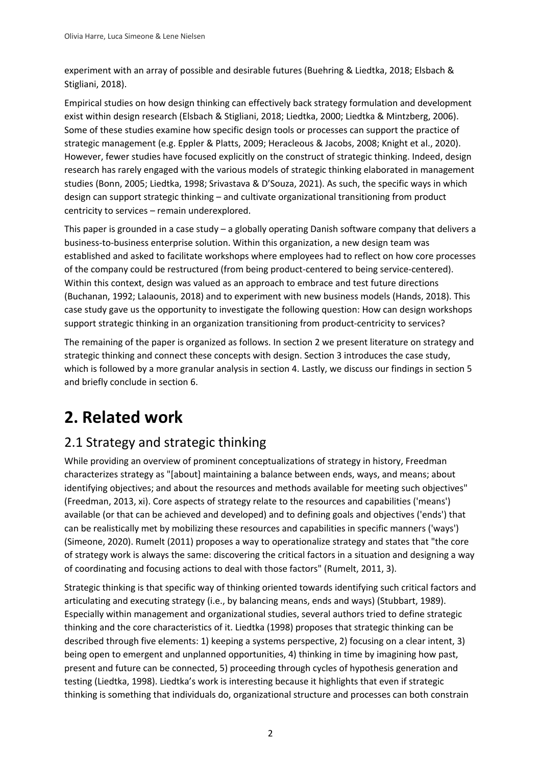experiment with an array of possible and desirable futures (Buehring & Liedtka, 2018; Elsbach & Stigliani, 2018).

Empirical studies on how design thinking can effectively back strategy formulation and development exist within design research (Elsbach & Stigliani, 2018; Liedtka, 2000; Liedtka & Mintzberg, 2006). Some of these studies examine how specific design tools or processes can support the practice of strategic management (e.g. Eppler & Platts, 2009; Heracleous & Jacobs, 2008; Knight et al., 2020). However, fewer studies have focused explicitly on the construct of strategic thinking. Indeed, design research has rarely engaged with the various models of strategic thinking elaborated in management studies (Bonn, 2005; Liedtka, 1998; Srivastava & D'Souza, 2021). As such, the specific ways in which design can support strategic thinking – and cultivate organizational transitioning from product centricity to services – remain underexplored.

This paper is grounded in a case study – a globally operating Danish software company that delivers a business-to-business enterprise solution. Within this organization, a new design team was established and asked to facilitate workshops where employees had to reflect on how core processes of the company could be restructured (from being product-centered to being service-centered). Within this context, design was valued as an approach to embrace and test future directions (Buchanan, 1992; Lalaounis, 2018) and to experiment with new business models (Hands, 2018). This case study gave us the opportunity to investigate the following question: How can design workshops support strategic thinking in an organization transitioning from product-centricity to services?

The remaining of the paper is organized as follows. In section 2 we present literature on strategy and strategic thinking and connect these concepts with design. Section 3 introduces the case study, which is followed by a more granular analysis in section 4. Lastly, we discuss our findings in section 5 and briefly conclude in section 6.

## **2. Related work**

## 2.1 Strategy and strategic thinking

While providing an overview of prominent conceptualizations of strategy in history, Freedman characterizes strategy as "[about] maintaining a balance between ends, ways, and means; about identifying objectives; and about the resources and methods available for meeting such objectives" (Freedman, 2013, xi). Core aspects of strategy relate to the resources and capabilities ('means') available (or that can be achieved and developed) and to defining goals and objectives ('ends') that can be realistically met by mobilizing these resources and capabilities in specific manners ('ways') (Simeone, 2020). Rumelt (2011) proposes a way to operationalize strategy and states that "the core of strategy work is always the same: discovering the critical factors in a situation and designing a way of coordinating and focusing actions to deal with those factors" (Rumelt, 2011, 3).

Strategic thinking is that specific way of thinking oriented towards identifying such critical factors and articulating and executing strategy (i.e., by balancing means, ends and ways) (Stubbart, 1989). Especially within management and organizational studies, several authors tried to define strategic thinking and the core characteristics of it. Liedtka (1998) proposes that strategic thinking can be described through five elements: 1) keeping a systems perspective, 2) focusing on a clear intent, 3) being open to emergent and unplanned opportunities, 4) thinking in time by imagining how past, present and future can be connected, 5) proceeding through cycles of hypothesis generation and testing (Liedtka, 1998). Liedtka's work is interesting because it highlights that even if strategic thinking is something that individuals do, organizational structure and processes can both constrain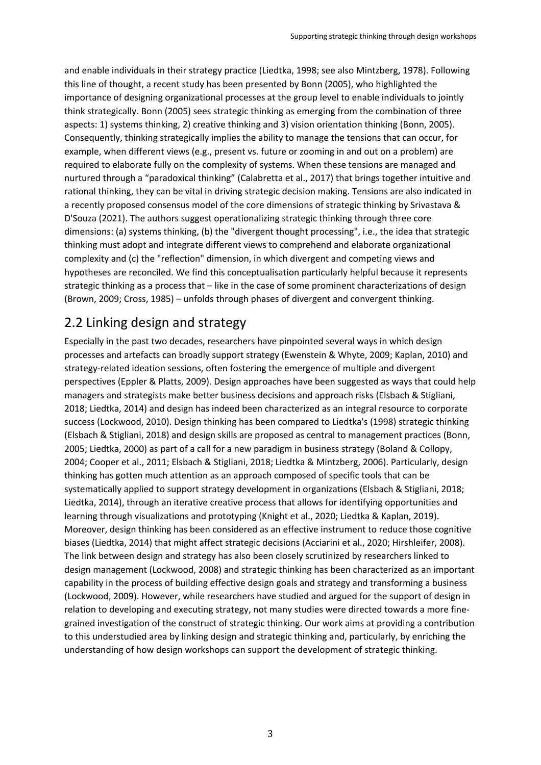and enable individuals in their strategy practice (Liedtka, 1998; see also Mintzberg, 1978). Following this line of thought, a recent study has been presented by Bonn (2005), who highlighted the importance of designing organizational processes at the group level to enable individuals to jointly think strategically. Bonn (2005) sees strategic thinking as emerging from the combination of three aspects: 1) systems thinking, 2) creative thinking and 3) vision orientation thinking (Bonn, 2005). Consequently, thinking strategically implies the ability to manage the tensions that can occur, for example, when different views (e.g., present vs. future or zooming in and out on a problem) are required to elaborate fully on the complexity of systems. When these tensions are managed and nurtured through a "paradoxical thinking" (Calabretta et al., 2017) that brings together intuitive and rational thinking, they can be vital in driving strategic decision making. Tensions are also indicated in a recently proposed consensus model of the core dimensions of strategic thinking by Srivastava & D'Souza (2021). The authors suggest operationalizing strategic thinking through three core dimensions: (a) systems thinking, (b) the "divergent thought processing", i.e., the idea that strategic thinking must adopt and integrate different views to comprehend and elaborate organizational complexity and (c) the "reflection" dimension, in which divergent and competing views and hypotheses are reconciled. We find this conceptualisation particularly helpful because it represents strategic thinking as a process that – like in the case of some prominent characterizations of design (Brown, 2009; Cross, 1985) – unfolds through phases of divergent and convergent thinking.

## 2.2 Linking design and strategy

Especially in the past two decades, researchers have pinpointed several ways in which design processes and artefacts can broadly support strategy (Ewenstein & Whyte, 2009; Kaplan, 2010) and strategy-related ideation sessions, often fostering the emergence of multiple and divergent perspectives (Eppler & Platts, 2009). Design approaches have been suggested as ways that could help managers and strategists make better business decisions and approach risks (Elsbach & Stigliani, 2018; Liedtka, 2014) and design has indeed been characterized as an integral resource to corporate success (Lockwood, 2010). Design thinking has been compared to Liedtka's (1998) strategic thinking (Elsbach & Stigliani, 2018) and design skills are proposed as central to management practices (Bonn, 2005; Liedtka, 2000) as part of a call for a new paradigm in business strategy (Boland & Collopy, 2004; Cooper et al., 2011; Elsbach & Stigliani, 2018; Liedtka & Mintzberg, 2006). Particularly, design thinking has gotten much attention as an approach composed of specific tools that can be systematically applied to support strategy development in organizations (Elsbach & Stigliani, 2018; Liedtka, 2014), through an iterative creative process that allows for identifying opportunities and learning through visualizations and prototyping (Knight et al., 2020; Liedtka & Kaplan, 2019). Moreover, design thinking has been considered as an effective instrument to reduce those cognitive biases (Liedtka, 2014) that might affect strategic decisions (Acciarini et al., 2020; Hirshleifer, 2008). The link between design and strategy has also been closely scrutinized by researchers linked to design management (Lockwood, 2008) and strategic thinking has been characterized as an important capability in the process of building effective design goals and strategy and transforming a business (Lockwood, 2009). However, while researchers have studied and argued for the support of design in relation to developing and executing strategy, not many studies were directed towards a more finegrained investigation of the construct of strategic thinking. Our work aims at providing a contribution to this understudied area by linking design and strategic thinking and, particularly, by enriching the understanding of how design workshops can support the development of strategic thinking.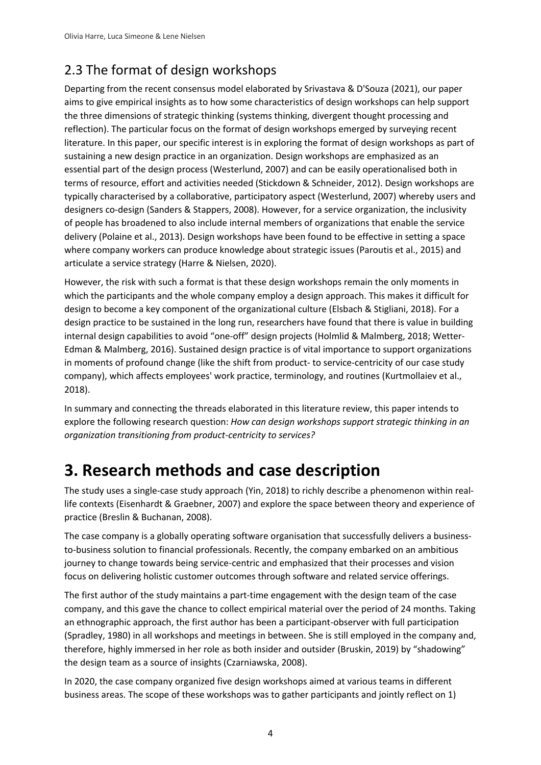## 2.3 The format of design workshops

Departing from the recent consensus model elaborated by Srivastava & D'Souza (2021), our paper aims to give empirical insights as to how some characteristics of design workshops can help support the three dimensions of strategic thinking (systems thinking, divergent thought processing and reflection). The particular focus on the format of design workshops emerged by surveying recent literature. In this paper, our specific interest is in exploring the format of design workshops as part of sustaining a new design practice in an organization. Design workshops are emphasized as an essential part of the design process (Westerlund, 2007) and can be easily operationalised both in terms of resource, effort and activities needed (Stickdown & Schneider, 2012). Design workshops are typically characterised by a collaborative, participatory aspect (Westerlund, 2007) whereby users and designers co-design (Sanders & Stappers, 2008). However, for a service organization, the inclusivity of people has broadened to also include internal members of organizations that enable the service delivery (Polaine et al., 2013). Design workshops have been found to be effective in setting a space where company workers can produce knowledge about strategic issues (Paroutis et al., 2015) and articulate a service strategy (Harre & Nielsen, 2020).

However, the risk with such a format is that these design workshops remain the only moments in which the participants and the whole company employ a design approach. This makes it difficult for design to become a key component of the organizational culture (Elsbach & Stigliani, 2018). For a design practice to be sustained in the long run, researchers have found that there is value in building internal design capabilities to avoid "one-off" design projects (Holmlid & Malmberg, 2018; Wetter-Edman & Malmberg, 2016). Sustained design practice is of vital importance to support organizations in moments of profound change (like the shift from product- to service-centricity of our case study company), which affects employees' work practice, terminology, and routines (Kurtmollaiev et al., 2018).

In summary and connecting the threads elaborated in this literature review, this paper intends to explore the following research question: *How can design workshops support strategic thinking in an organization transitioning from product-centricity to services?*

## **3. Research methods and case description**

The study uses a single-case study approach (Yin, 2018) to richly describe a phenomenon within reallife contexts (Eisenhardt & Graebner, 2007) and explore the space between theory and experience of practice (Breslin & Buchanan, 2008).

The case company is a globally operating software organisation that successfully delivers a businessto-business solution to financial professionals. Recently, the company embarked on an ambitious journey to change towards being service-centric and emphasized that their processes and vision focus on delivering holistic customer outcomes through software and related service offerings.

The first author of the study maintains a part-time engagement with the design team of the case company, and this gave the chance to collect empirical material over the period of 24 months. Taking an ethnographic approach, the first author has been a participant-observer with full participation (Spradley, 1980) in all workshops and meetings in between. She is still employed in the company and, therefore, highly immersed in her role as both insider and outsider (Bruskin, 2019) by "shadowing" the design team as a source of insights (Czarniawska, 2008).

In 2020, the case company organized five design workshops aimed at various teams in different business areas. The scope of these workshops was to gather participants and jointly reflect on 1)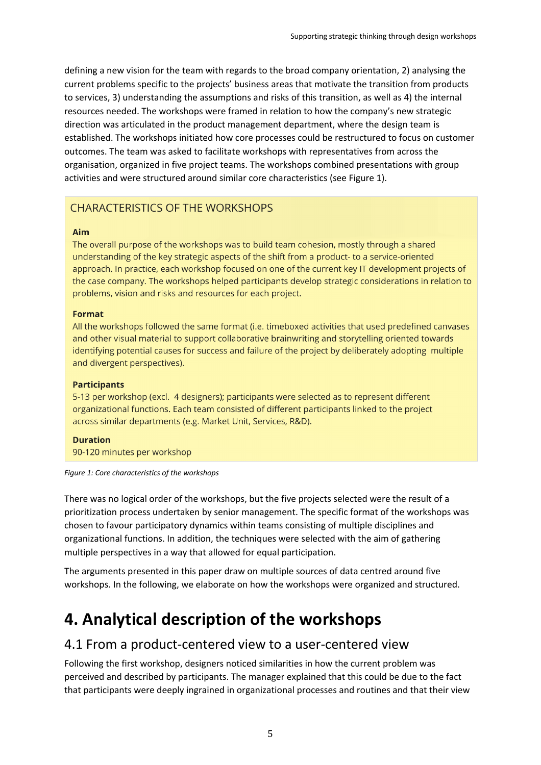defining a new vision for the team with regards to the broad company orientation, 2) analysing the current problems specific to the projects' business areas that motivate the transition from products to services, 3) understanding the assumptions and risks of this transition, as well as 4) the internal resources needed. The workshops were framed in relation to how the company's new strategic direction was articulated in the product management department, where the design team is established. The workshops initiated how core processes could be restructured to focus on customer outcomes. The team was asked to facilitate workshops with representatives from across the organisation, organized in five project teams. The workshops combined presentations with group activities and were structured around similar core characteristics (see Figure 1).

### **CHARACTERISTICS OF THE WORKSHOPS**

#### Aim

The overall purpose of the workshops was to build team cohesion, mostly through a shared understanding of the key strategic aspects of the shift from a product- to a service-oriented approach. In practice, each workshop focused on one of the current key IT development projects of the case company. The workshops helped participants develop strategic considerations in relation to problems, vision and risks and resources for each project.

#### **Format**

All the workshops followed the same format (i.e. timeboxed activities that used predefined canvases and other visual material to support collaborative brainwriting and storytelling oriented towards identifying potential causes for success and failure of the project by deliberately adopting multiple and divergent perspectives).

#### **Participants**

5-13 per workshop (excl. 4 designers); participants were selected as to represent different organizational functions. Each team consisted of different participants linked to the project across similar departments (e.g. Market Unit, Services, R&D).

#### **Duration**

90-120 minutes per workshop

#### *Figure 1: Core characteristics of the workshops*

There was no logical order of the workshops, but the five projects selected were the result of a prioritization process undertaken by senior management. The specific format of the workshops was chosen to favour participatory dynamics within teams consisting of multiple disciplines and organizational functions. In addition, the techniques were selected with the aim of gathering multiple perspectives in a way that allowed for equal participation.

The arguments presented in this paper draw on multiple sources of data centred around five workshops. In the following, we elaborate on how the workshops were organized and structured.

## **4. Analytical description of the workshops**

### 4.1 From a product-centered view to a user-centered view

Following the first workshop, designers noticed similarities in how the current problem was perceived and described by participants. The manager explained that this could be due to the fact that participants were deeply ingrained in organizational processes and routines and that their view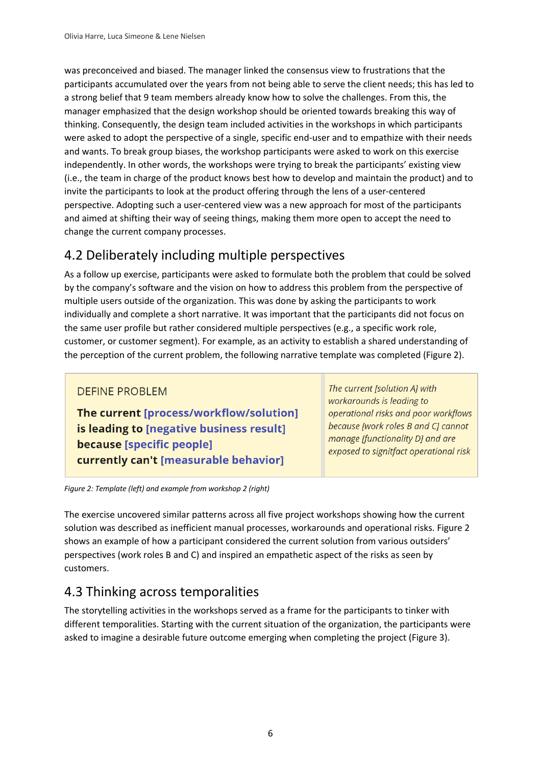was preconceived and biased. The manager linked the consensus view to frustrations that the participants accumulated over the years from not being able to serve the client needs; this has led to a strong belief that 9 team members already know how to solve the challenges. From this, the manager emphasized that the design workshop should be oriented towards breaking this way of thinking. Consequently, the design team included activities in the workshops in which participants were asked to adopt the perspective of a single, specific end-user and to empathize with their needs and wants. To break group biases, the workshop participants were asked to work on this exercise independently. In other words, the workshops were trying to break the participants' existing view (i.e., the team in charge of the product knows best how to develop and maintain the product) and to invite the participants to look at the product offering through the lens of a user-centered perspective. Adopting such a user-centered view was a new approach for most of the participants and aimed at shifting their way of seeing things, making them more open to accept the need to change the current company processes.

## 4.2 Deliberately including multiple perspectives

As a follow up exercise, participants were asked to formulate both the problem that could be solved by the company's software and the vision on how to address this problem from the perspective of multiple users outside of the organization. This was done by asking the participants to work individually and complete a short narrative. It was important that the participants did not focus on the same user profile but rather considered multiple perspectives (e.g., a specific work role, customer, or customer segment). For example, as an activity to establish a shared understanding of the perception of the current problem, the following narrative template was completed (Figure 2).

### **DEFINE PROBLEM**

The current [process/workflow/solution] is leading to [negative business result] because [specific people] currently can't [measurable behavior]

The current [solution A] with workarounds is leading to operational risks and poor workflows because [work roles B and C] cannot manage [functionality D] and are exposed to signitfact operational risk

*Figure 2: Template (left) and example from workshop 2 (right)*

The exercise uncovered similar patterns across all five project workshops showing how the current solution was described as inefficient manual processes, workarounds and operational risks. Figure 2 shows an example of how a participant considered the current solution from various outsiders' perspectives (work roles B and C) and inspired an empathetic aspect of the risks as seen by customers.

## 4.3 Thinking across temporalities

The storytelling activities in the workshops served as a frame for the participants to tinker with different temporalities. Starting with the current situation of the organization, the participants were asked to imagine a desirable future outcome emerging when completing the project (Figure 3).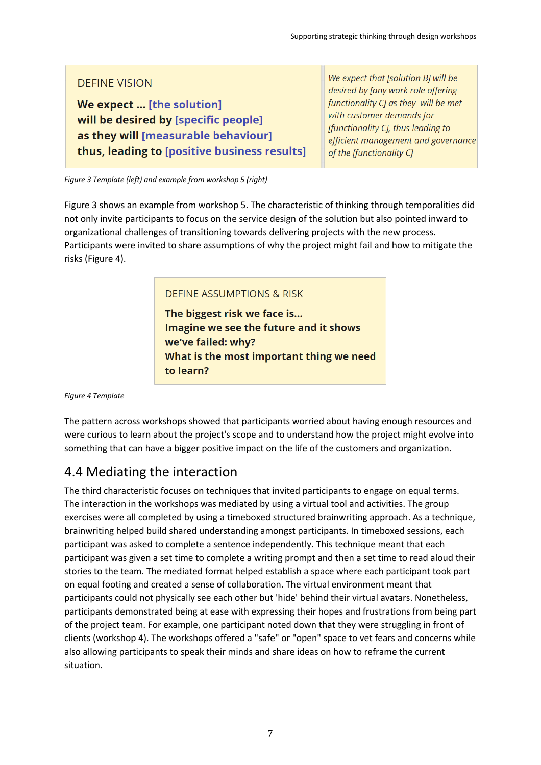### **DEFINE VISION**

We expect ... [the solution] will be desired by [specific people] as they will [measurable behaviour] thus, leading to [positive business results]

We expect that [solution B] will be desired by Jany work role offering functionality CJ as they will be met with customer demands for [functionality C], thus leading to efficient management and governance of the [functionality C]

*Figure 3 Template (left) and example from workshop 5 (right)*

Figure 3 shows an example from workshop 5. The characteristic of thinking through temporalities did not only invite participants to focus on the service design of the solution but also pointed inward to organizational challenges of transitioning towards delivering projects with the new process. Participants were invited to share assumptions of why the project might fail and how to mitigate the risks (Figure 4).

### **DEFINE ASSUMPTIONS & RISK**

The biggest risk we face is... Imagine we see the future and it shows we've failed: why? What is the most important thing we need to learn?

*Figure 4 Template*

The pattern across workshops showed that participants worried about having enough resources and were curious to learn about the project's scope and to understand how the project might evolve into something that can have a bigger positive impact on the life of the customers and organization.

### 4.4 Mediating the interaction

The third characteristic focuses on techniques that invited participants to engage on equal terms. The interaction in the workshops was mediated by using a virtual tool and activities. The group exercises were all completed by using a timeboxed structured brainwriting approach. As a technique, brainwriting helped build shared understanding amongst participants. In timeboxed sessions, each participant was asked to complete a sentence independently. This technique meant that each participant was given a set time to complete a writing prompt and then a set time to read aloud their stories to the team. The mediated format helped establish a space where each participant took part on equal footing and created a sense of collaboration. The virtual environment meant that participants could not physically see each other but 'hide' behind their virtual avatars. Nonetheless, participants demonstrated being at ease with expressing their hopes and frustrations from being part of the project team. For example, one participant noted down that they were struggling in front of clients (workshop 4). The workshops offered a "safe" or "open" space to vet fears and concerns while also allowing participants to speak their minds and share ideas on how to reframe the current situation.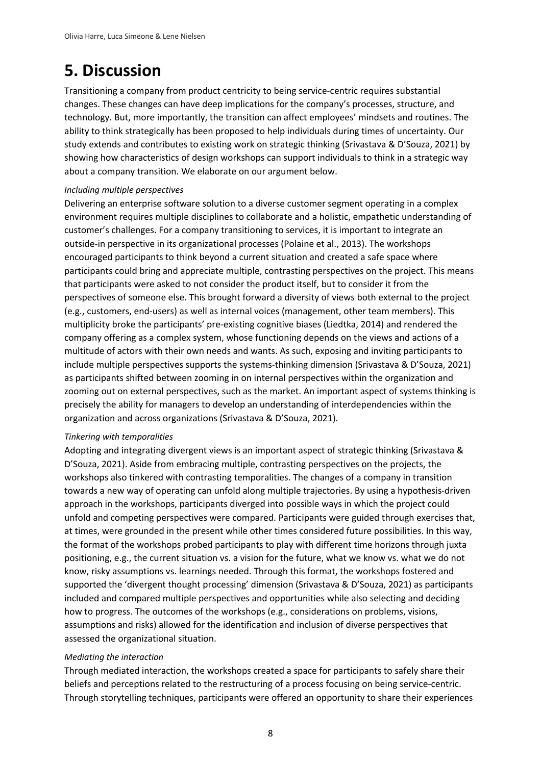## **5. Discussion**

Transitioning a company from product centricity to being service-centric requires substantial changes. These changes can have deep implications for the company's processes, structure, and technology. But, more importantly, the transition can affect employees' mindsets and routines. The ability to think strategically has been proposed to help individuals during times of uncertainty. Our study extends and contributes to existing work on strategic thinking (Srivastava & D'Souza, 2021) by showing how characteristics of design workshops can support individuals to think in a strategic way about a company transition. We elaborate on our argument below.

### *Including multiple perspectives*

Delivering an enterprise software solution to a diverse customer segment operating in a complex environment requires multiple disciplines to collaborate and a holistic, empathetic understanding of customer's challenges. For a company transitioning to services, it is important to integrate an outside-in perspective in its organizational processes (Polaine et al., 2013). The workshops encouraged participants to think beyond a current situation and created a safe space where participants could bring and appreciate multiple, contrasting perspectives on the project. This means that participants were asked to not consider the product itself, but to consider it from the perspectives of someone else. This brought forward a diversity of views both external to the project (e.g., customers, end-users) as well as internal voices (management, other team members). This multiplicity broke the participants' pre-existing cognitive biases (Liedtka, 2014) and rendered the company offering as a complex system, whose functioning depends on the views and actions of a multitude of actors with their own needs and wants. As such, exposing and inviting participants to include multiple perspectives supports the systems-thinking dimension (Srivastava & D'Souza, 2021) as participants shifted between zooming in on internal perspectives within the organization and zooming out on external perspectives, such as the market. An important aspect of systems thinking is precisely the ability for managers to develop an understanding of interdependencies within the organization and across organizations (Srivastava & D'Souza, 2021).

### *Tinkering with temporalities*

Adopting and integrating divergent views is an important aspect of strategic thinking (Srivastava & D'Souza, 2021). Aside from embracing multiple, contrasting perspectives on the projects, the workshops also tinkered with contrasting temporalities. The changes of a company in transition towards a new way of operating can unfold along multiple trajectories. By using a hypothesis-driven approach in the workshops, participants diverged into possible ways in which the project could unfold and competing perspectives were compared. Participants were guided through exercises that, at times, were grounded in the present while other times considered future possibilities. In this way, the format of the workshops probed participants to play with different time horizons through juxta positioning, e.g., the current situation vs. a vision for the future, what we know vs. what we do not know, risky assumptions vs. learnings needed. Through this format, the workshops fostered and supported the 'divergent thought processing' dimension (Srivastava & D'Souza, 2021) as participants included and compared multiple perspectives and opportunities while also selecting and deciding how to progress. The outcomes of the workshops (e.g., considerations on problems, visions, assumptions and risks) allowed for the identification and inclusion of diverse perspectives that assessed the organizational situation.

### *Mediating the interaction*

Through mediated interaction, the workshops created a space for participants to safely share their beliefs and perceptions related to the restructuring of a process focusing on being service-centric. Through storytelling techniques, participants were offered an opportunity to share their experiences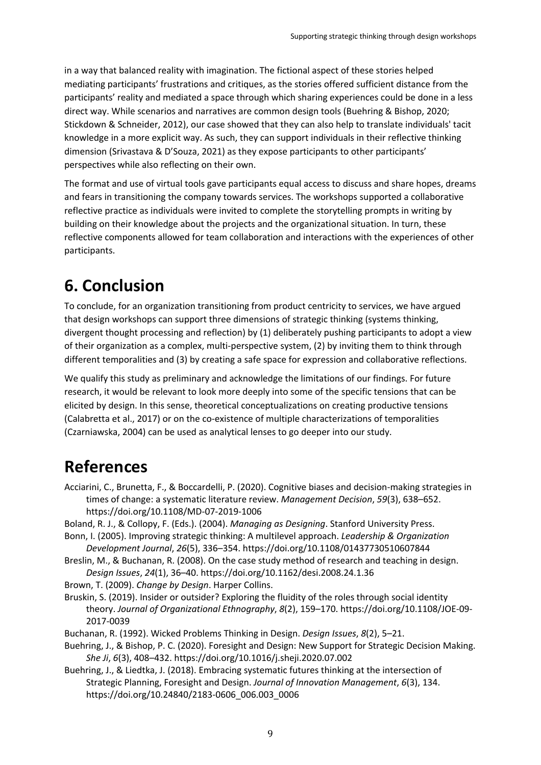in a way that balanced reality with imagination. The fictional aspect of these stories helped mediating participants' frustrations and critiques, as the stories offered sufficient distance from the participants' reality and mediated a space through which sharing experiences could be done in a less direct way. While scenarios and narratives are common design tools (Buehring & Bishop, 2020; Stickdown & Schneider, 2012), our case showed that they can also help to translate individuals' tacit knowledge in a more explicit way. As such, they can support individuals in their reflective thinking dimension (Srivastava & D'Souza, 2021) as they expose participants to other participants' perspectives while also reflecting on their own.

The format and use of virtual tools gave participants equal access to discuss and share hopes, dreams and fears in transitioning the company towards services. The workshops supported a collaborative reflective practice as individuals were invited to complete the storytelling prompts in writing by building on their knowledge about the projects and the organizational situation. In turn, these reflective components allowed for team collaboration and interactions with the experiences of other participants.

## **6. Conclusion**

To conclude, for an organization transitioning from product centricity to services, we have argued that design workshops can support three dimensions of strategic thinking (systems thinking, divergent thought processing and reflection) by (1) deliberately pushing participants to adopt a view of their organization as a complex, multi-perspective system, (2) by inviting them to think through different temporalities and (3) by creating a safe space for expression and collaborative reflections.

We qualify this study as preliminary and acknowledge the limitations of our findings. For future research, it would be relevant to look more deeply into some of the specific tensions that can be elicited by design. In this sense, theoretical conceptualizations on creating productive tensions (Calabretta et al., 2017) or on the co-existence of multiple characterizations of temporalities (Czarniawska, 2004) can be used as analytical lenses to go deeper into our study.

## **References**

- Acciarini, C., Brunetta, F., & Boccardelli, P. (2020). Cognitive biases and decision-making strategies in times of change: a systematic literature review. *Management Decision*, *59*(3), 638–652. https://doi.org/10.1108/MD-07-2019-1006
- Boland, R. J., & Collopy, F. (Eds.). (2004). *Managing as Designing*. Stanford University Press.
- Bonn, I. (2005). Improving strategic thinking: A multilevel approach. *Leadership & Organization Development Journal*, *26*(5), 336–354. https://doi.org/10.1108/01437730510607844
- Breslin, M., & Buchanan, R. (2008). On the case study method of research and teaching in design. *Design Issues*, *24*(1), 36–40. https://doi.org/10.1162/desi.2008.24.1.36
- Brown, T. (2009). *Change by Design*. Harper Collins.
- Bruskin, S. (2019). Insider or outsider? Exploring the fluidity of the roles through social identity theory. *Journal of Organizational Ethnography*, *8*(2), 159–170. https://doi.org/10.1108/JOE-09- 2017-0039
- Buchanan, R. (1992). Wicked Problems Thinking in Design. *Design Issues*, *8*(2), 5–21.
- Buehring, J., & Bishop, P. C. (2020). Foresight and Design: New Support for Strategic Decision Making. *She Ji*, *6*(3), 408–432. https://doi.org/10.1016/j.sheji.2020.07.002
- Buehring, J., & Liedtka, J. (2018). Embracing systematic futures thinking at the intersection of Strategic Planning, Foresight and Design. *Journal of Innovation Management*, *6*(3), 134. https://doi.org/10.24840/2183-0606\_006.003\_0006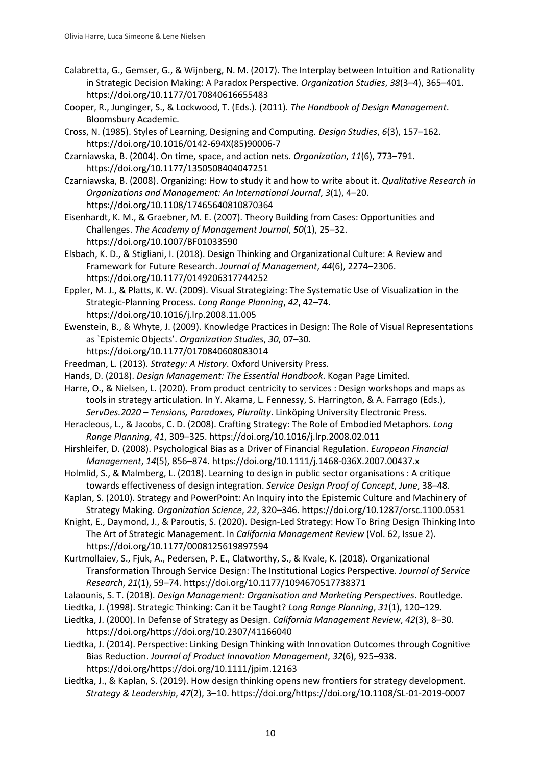- Calabretta, G., Gemser, G., & Wijnberg, N. M. (2017). The Interplay between Intuition and Rationality in Strategic Decision Making: A Paradox Perspective. *Organization Studies*, *38*(3–4), 365–401. https://doi.org/10.1177/0170840616655483
- Cooper, R., Junginger, S., & Lockwood, T. (Eds.). (2011). *The Handbook of Design Management*. Bloomsbury Academic.
- Cross, N. (1985). Styles of Learning, Designing and Computing. *Design Studies*, *6*(3), 157–162. https://doi.org/10.1016/0142-694X(85)90006-7
- Czarniawska, B. (2004). On time, space, and action nets. *Organization*, *11*(6), 773–791. https://doi.org/10.1177/1350508404047251
- Czarniawska, B. (2008). Organizing: How to study it and how to write about it. *Qualitative Research in Organizations and Management: An International Journal*, *3*(1), 4–20. https://doi.org/10.1108/17465640810870364
- Eisenhardt, K. M., & Graebner, M. E. (2007). Theory Building from Cases: Opportunities and Challenges. *The Academy of Management Journal*, *50*(1), 25–32. https://doi.org/10.1007/BF01033590
- Elsbach, K. D., & Stigliani, I. (2018). Design Thinking and Organizational Culture: A Review and Framework for Future Research. *Journal of Management*, *44*(6), 2274–2306. https://doi.org/10.1177/0149206317744252
- Eppler, M. J., & Platts, K. W. (2009). Visual Strategizing: The Systematic Use of Visualization in the Strategic-Planning Process. *Long Range Planning*, *42*, 42–74. https://doi.org/10.1016/j.lrp.2008.11.005
- Ewenstein, B., & Whyte, J. (2009). Knowledge Practices in Design: The Role of Visual Representations as `Epistemic Objects'. *Organization Studies*, *30*, 07–30. https://doi.org/10.1177/0170840608083014
- Freedman, L. (2013). *Strategy: A History*. Oxford University Press.
- Hands, D. (2018). *Design Management: The Essential Handbook*. Kogan Page Limited.
- Harre, O., & Nielsen, L. (2020). From product centricity to services : Design workshops and maps as tools in strategy articulation. In Y. Akama, L. Fennessy, S. Harrington, & A. Farrago (Eds.), *ServDes.2020 – Tensions, Paradoxes, Plurality*. Linköping University Electronic Press.
- Heracleous, L., & Jacobs, C. D. (2008). Crafting Strategy: The Role of Embodied Metaphors. *Long Range Planning*, *41*, 309–325. https://doi.org/10.1016/j.lrp.2008.02.011
- Hirshleifer, D. (2008). Psychological Bias as a Driver of Financial Regulation. *European Financial Management*, *14*(5), 856–874. https://doi.org/10.1111/j.1468-036X.2007.00437.x
- Holmlid, S., & Malmberg, L. (2018). Learning to design in public sector organisations : A critique towards effectiveness of design integration. *Service Design Proof of Concept*, *June*, 38–48.
- Kaplan, S. (2010). Strategy and PowerPoint: An Inquiry into the Epistemic Culture and Machinery of Strategy Making. *Organization Science*, *22*, 320–346. https://doi.org/10.1287/orsc.1100.0531
- Knight, E., Daymond, J., & Paroutis, S. (2020). Design-Led Strategy: How To Bring Design Thinking Into The Art of Strategic Management. In *California Management Review* (Vol. 62, Issue 2). https://doi.org/10.1177/0008125619897594
- Kurtmollaiev, S., Fjuk, A., Pedersen, P. E., Clatworthy, S., & Kvale, K. (2018). Organizational Transformation Through Service Design: The Institutional Logics Perspective. *Journal of Service Research*, *21*(1), 59–74. https://doi.org/10.1177/1094670517738371
- Lalaounis, S. T. (2018). *Design Management: Organisation and Marketing Perspectives*. Routledge.
- Liedtka, J. (1998). Strategic Thinking: Can it be Taught? *Long Range Planning*, *31*(1), 120–129.
- Liedtka, J. (2000). In Defense of Strategy as Design. *California Management Review*, *42*(3), 8–30. https://doi.org/https://doi.org/10.2307/41166040
- Liedtka, J. (2014). Perspective: Linking Design Thinking with Innovation Outcomes through Cognitive Bias Reduction. *Journal of Product Innovation Management*, *32*(6), 925–938. https://doi.org/https://doi.org/10.1111/jpim.12163
- Liedtka, J., & Kaplan, S. (2019). How design thinking opens new frontiers for strategy development. *Strategy & Leadership*, *47*(2), 3–10. https://doi.org/https://doi.org/10.1108/SL-01-2019-0007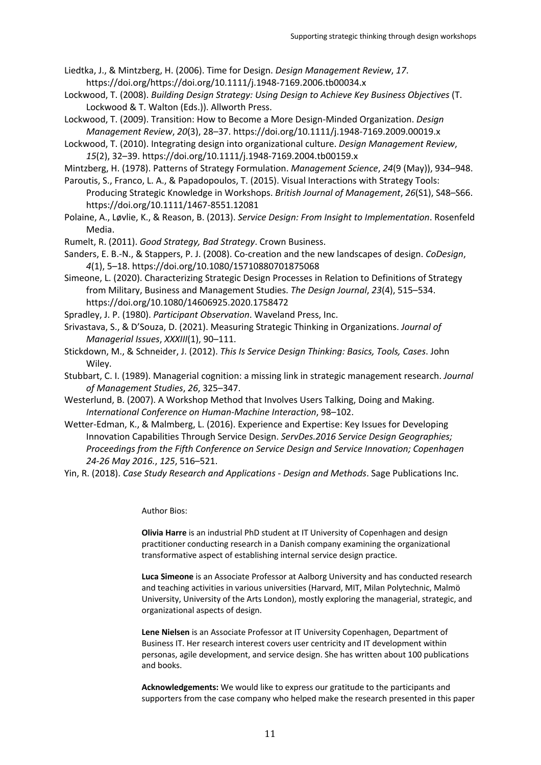Liedtka, J., & Mintzberg, H. (2006). Time for Design. *Design Management Review*, *17*. https://doi.org/https://doi.org/10.1111/j.1948-7169.2006.tb00034.x

- Lockwood, T. (2008). *Building Design Strategy: Using Design to Achieve Key Business Objectives* (T. Lockwood & T. Walton (Eds.)). Allworth Press.
- Lockwood, T. (2009). Transition: How to Become a More Design-Minded Organization. *Design Management Review*, *20*(3), 28–37. https://doi.org/10.1111/j.1948-7169.2009.00019.x
- Lockwood, T. (2010). Integrating design into organizational culture. *Design Management Review*, *15*(2), 32–39. https://doi.org/10.1111/j.1948-7169.2004.tb00159.x

Mintzberg, H. (1978). Patterns of Strategy Formulation. *Management Science*, *24*(9 (May)), 934–948.

Paroutis, S., Franco, L. A., & Papadopoulos, T. (2015). Visual Interactions with Strategy Tools: Producing Strategic Knowledge in Workshops. *British Journal of Management*, *26*(S1), S48–S66. https://doi.org/10.1111/1467-8551.12081

- Polaine, A., Løvlie, K., & Reason, B. (2013). *Service Design: From Insight to Implementation*. Rosenfeld Media.
- Rumelt, R. (2011). *Good Strategy, Bad Strategy*. Crown Business.

Sanders, E. B.-N., & Stappers, P. J. (2008). Co-creation and the new landscapes of design. *CoDesign*, *4*(1), 5–18. https://doi.org/10.1080/15710880701875068

- Simeone, L. (2020). Characterizing Strategic Design Processes in Relation to Definitions of Strategy from Military, Business and Management Studies. *The Design Journal*, *23*(4), 515–534. https://doi.org/10.1080/14606925.2020.1758472
- Spradley, J. P. (1980). *Participant Observation*. Waveland Press, Inc.
- Srivastava, S., & D'Souza, D. (2021). Measuring Strategic Thinking in Organizations. *Journal of Managerial Issues*, *XXXIII*(1), 90–111.
- Stickdown, M., & Schneider, J. (2012). *This Is Service Design Thinking: Basics, Tools, Cases*. John Wiley.
- Stubbart, C. I. (1989). Managerial cognition: a missing link in strategic management research. *Journal of Management Studies*, *26*, 325–347.
- Westerlund, B. (2007). A Workshop Method that Involves Users Talking, Doing and Making. *International Conference on Human-Machine Interaction*, 98–102.
- Wetter-Edman, K., & Malmberg, L. (2016). Experience and Expertise: Key Issues for Developing Innovation Capabilities Through Service Design. *ServDes.2016 Service Design Geographies; Proceedings from the Fifth Conference on Service Design and Service Innovation; Copenhagen 24-26 May 2016.*, *125*, 516–521.
- Yin, R. (2018). *Case Study Research and Applications - Design and Methods*. Sage Publications Inc.

Author Bios:

**Olivia Harre** is an industrial PhD student at IT University of Copenhagen and design practitioner conducting research in a Danish company examining the organizational transformative aspect of establishing internal service design practice.

**Luca Simeone** is an Associate Professor at Aalborg University and has conducted research and teaching activities in various universities (Harvard, MIT, Milan Polytechnic, Malmö University, University of the Arts London), mostly exploring the managerial, strategic, and organizational aspects of design.

**Lene Nielsen** is an Associate Professor at IT University Copenhagen, Department of Business IT. Her research interest covers user centricity and IT development within personas, agile development, and service design. She has written about 100 publications and books.

**Acknowledgements:** We would like to express our gratitude to the participants and supporters from the case company who helped make the research presented in this paper